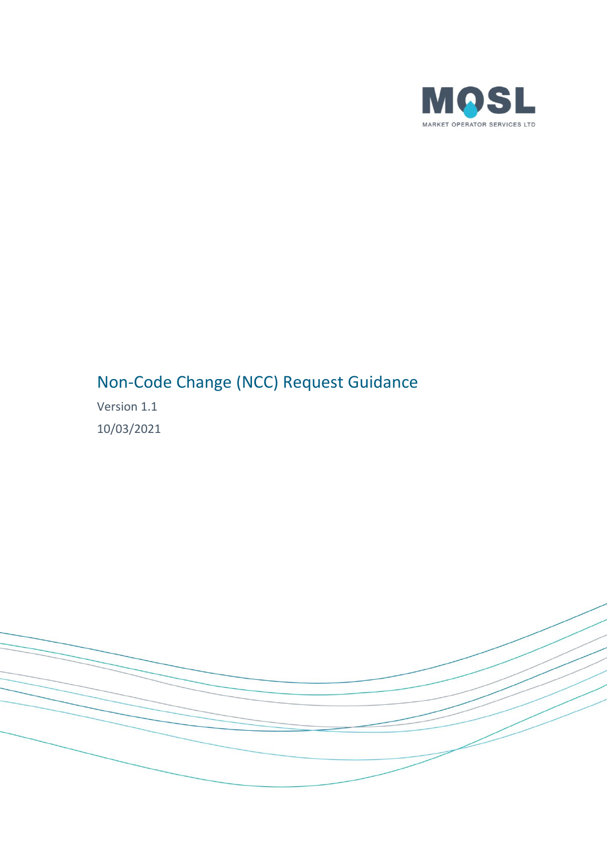

# Non-Code Change (NCC) Request Guidance

Version 1.1 10/03/2021

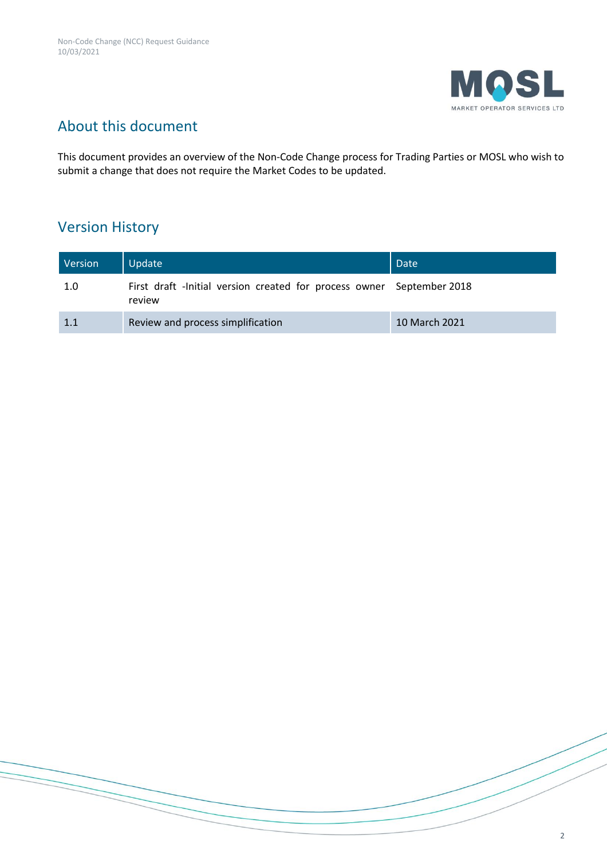

# About this document

This document provides an overview of the Non-Code Change process for Trading Parties or MOSL who wish to submit a change that does not require the Market Codes to be updated.

## Version History

| Version | Update                                                                          | Date          |
|---------|---------------------------------------------------------------------------------|---------------|
| 1.0     | First draft -Initial version created for process owner September 2018<br>review |               |
| 1.1     | Review and process simplification                                               | 10 March 2021 |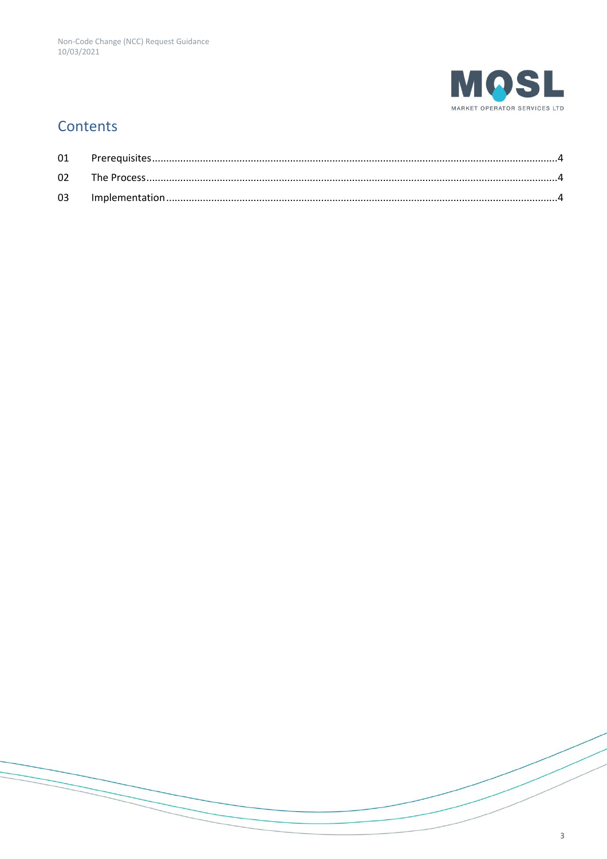

## Contents